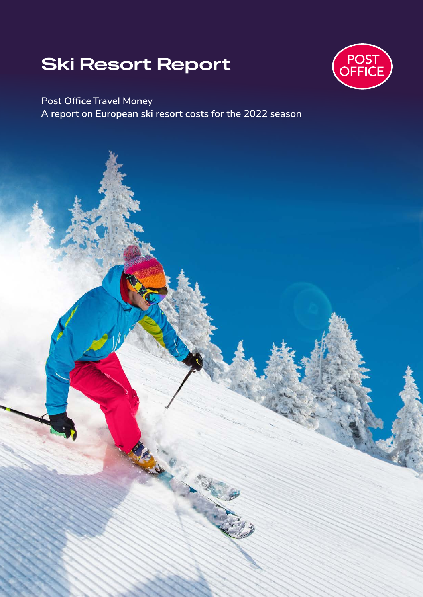# **Ski Resort Report**



**Post Office Travel Money A report on European ski resort costs for the 2022 season**

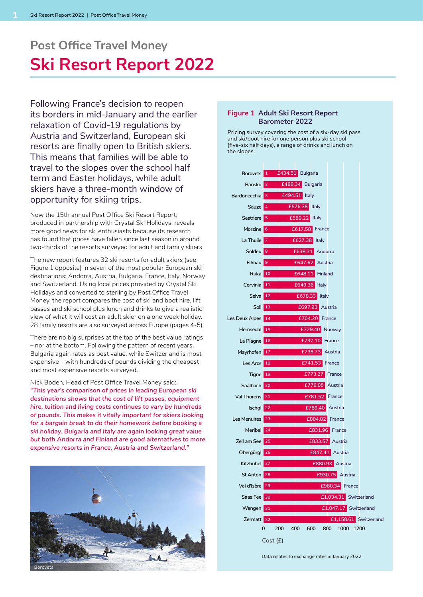## **Ski Resort Report 2022 Post Office Travel Money**

Following France's decision to reopen its borders in mid-January and the earlier relaxation of Covid-19 regulations by Austria and Switzerland, European ski resorts are finally open to British skiers. This means that families will be able to travel to the slopes over the school half term and Easter holidays, while adult skiers have a three-month window of opportunity for skiing trips.

Now the 15th annual Post Office Ski Resort Report, produced in partnership with Crystal Ski Holidays, reveals more good news for ski enthusiasts because its research has found that prices have fallen since last season in around two-thirds of the resorts surveyed for adult and family skiers.

The new report features 32 ski resorts for adult skiers (see Figure 1 opposite) in seven of the most popular European ski destinations: Andorra, Austria, Bulgaria, France, Italy, Norway and Switzerland. Using local prices provided by Crystal Ski Holidays and converted to sterling by Post Office Travel Money, the report compares the cost of ski and boot hire, lift passes and ski school plus lunch and drinks to give a realistic view of what it will cost an adult skier on a one week holiday. 28 family resorts are also surveyed across Europe (pages 4-5).

There are no big surprises at the top of the best value ratings – nor at the bottom. Following the pattern of recent years, Bulgaria again rates as best value, while Switzerland is most expensive – with hundreds of pounds dividing the cheapest and most expensive resorts surveyed.

Nick Boden, Head of Post Office Travel Money said: *"This year's comparison of prices in leading European ski destinations shows that the cost of lift passes, equipment hire, tuition and living costs continues to vary by hundreds of pounds. This makes it vitally important for skiers looking for a bargain break to do their homework before booking a ski holiday. Bulgaria and Italy are again looking great value but both Andorra and Finland are good alternatives to more expensive resorts in France, Austria and Switzerland."*



#### **Figure 1 Adult Ski Resort Report Barometer 2022**

Pricing survey covering the cost of a six-day ski pass and ski/boot hire for one person plus ski school (five-six half days), a range of drinks and lunch on the slopes.



Data relates to exchange rates in January 2022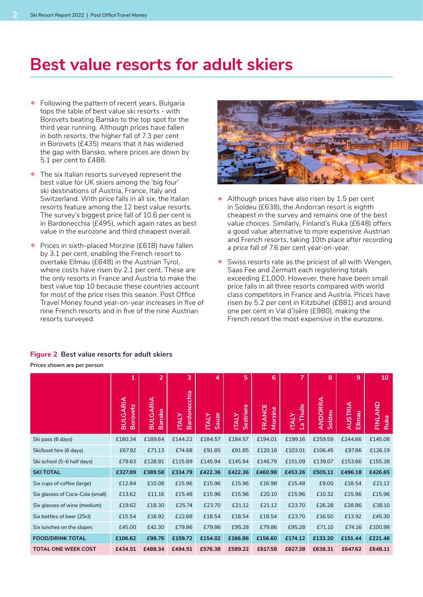### **Best value resorts for adult skiers**

- Following the pattern of recent years, Bulgaria tops the table of best value ski resorts - with Borovets beating Bansko to the top spot for the third year running. Although prices have fallen in both resorts, the higher fall of 7.3 per cent in Borovets (£435) means that it has widened the gap with Bansko, where prices are down by 5.1 per cent to £488.
- The six Italian resorts surveyed represent the best value for UK skiers among the 'big four' ski destinations of Austria, France, Italy and Switzerland. With price falls in all six, the Italian resorts feature among the 12 best value resorts. The survey's biggest price fall of 10.6 per cent is in Bardonecchia (£495), which again rates as best value in the eurozone and third cheapest overall.
- Prices in sixth-placed Morzine (£618) have fallen by 3.1 per cent, enabling the French resort to overtake Ellmau (£648) in the Austrian Tyrol, where costs have risen by 2.1 per cent. These are the only resorts in France and Austria to make the best value top 10 because these countries account for most of the price rises this season. Post Office Travel Money found year-on-year increases in five of nine French resorts and in five of the nine Austrian resorts surveyed.

#### **Figure 2 Best value resorts for adult skiers**

**Prices shown are per person**

|                                  | 1                                  | 2                                | 3                            | 4                            | 5                         | 6                 | 7                         | 8                        | 9                        | 10              |
|----------------------------------|------------------------------------|----------------------------------|------------------------------|------------------------------|---------------------------|-------------------|---------------------------|--------------------------|--------------------------|-----------------|
|                                  | <b>BULGARIA</b><br><b>Borovets</b> | <b>BULGARIA</b><br><b>Bansko</b> | Bardonecchia<br><b>ITALY</b> | <b>Sauze</b><br><b>ITALY</b> | Sestriere<br><b>ITALY</b> | FRANCE<br>Morzine | La Thuile<br><b>ITALY</b> | <b>ANDORRA</b><br>Soldeu | <b>AUSTRIA</b><br>Ellmau | FINLAND<br>Ruka |
| Ski pass (6 days)                | £180.34                            | £189.64                          | £144.22                      | £184.57                      | £184.57                   | £194.01           | £199.16                   | £259.59                  | £244.66                  | £145.08         |
| Ski/boot hire (6 days)           | £67.92                             | £71.13                           | £74.68                       | £91.85                       | £91.85                    | £120.18           | £103.01                   | £106.45                  | £97.86                   | £126.19         |
| Ski school (5-6 half days)       | £79.63                             | £128.81                          | £115.89                      | £145.94                      | £145.94                   | £146.79           | £151.09                   | £139.07                  | £153.66                  | £155.38         |
| <b>SKI TOTAL</b>                 | £327.89                            | £389.58                          | £334.79                      | £422.36                      | £422.36                   | £460.98           | £453.26                   | £505.11                  | £496.18                  | £426.65         |
| Six cups of coffee (large)       | £12.84                             | £10.08                           | £15.96                       | £15.96                       | £15.96                    | £16.98            | £15.48                    | £9.00                    | £18.54                   | £21.12          |
| Six glasses of Coca-Cola (small) | £13.62                             | £11.16                           | £15.48                       | £15.96                       | £15.96                    | £20.10            | £15.96                    | £10.32                   | £15.96                   | £15.96          |
| Six glasses of wine (medium)     | £19.62                             | £18.30                           | £25.74                       | £23.70                       | £21.12                    | £21.12            | £23.70                    | £26.28                   | £28.86                   | £38.10          |
| Six bottles of beer (25cl)       | £15.54                             | £16.92                           | £22.68                       | £18.54                       | £18.54                    | £18.54            | £23.70                    | £16.50                   | £13.92                   | £45.30          |
| Six lunches on the slopes        | £45.00                             | £42.30                           | £79.86                       | £79.86                       | £95.28                    | £79.86            | £95.28                    | £71.10                   | £74.16                   | £100.98         |
| <b>FOOD/DRINK TOTAL</b>          | £106.62                            | £98.76                           | £159.72                      | £154.02                      | £166.86                   | £156.60           | £174.12                   | £133.20                  | £151.44                  | £221.46         |
| <b>TOTAL ONE WEEK COST</b>       | £434.51                            | £488.34                          | £494.51                      | £576.38                      | £589.22                   | £617.58           | £627.38                   | £638.31                  | £647.62                  | £648.11         |



- Although prices have also risen by 1.5 per cent in Soldeu (£638), the Andorran resort is eighth cheapest in the survey and remains one of the best value choices. Similarly, Finland's Ruka (£648) offers a good value alternative to more expensive Austrian and French resorts, taking 10th place after recording a price fall of 7.6 per cent year-on-year.
- Swiss resorts rate as the priciest of all with Wengen. Saas Fee and Zermatt each registering totals exceeding £1,000. However, there have been small price falls in all three resorts compared with world class competitors in France and Austria. Prices have risen by 5.2 per cent in Kitzbühel (£881) and around one per cent in Val d'Isère (£980), making the French resort the most expensive in the eurozone.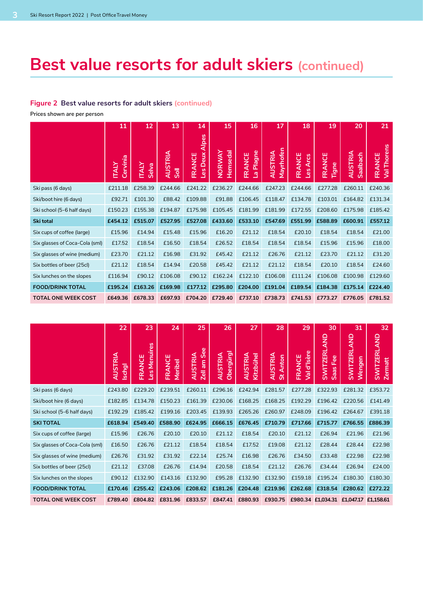## **Best value resorts for adult skiers (continued)**

#### **Figure 2 Best value resorts for adult skiers (continued)**

**Prices shown are per person** 

|                                | 11                       | 12                    | 13                     | 14                              | 15                 | 16                                      | 17                          | 18                 | 19              | 20                         | 21                                  |
|--------------------------------|--------------------------|-----------------------|------------------------|---------------------------------|--------------------|-----------------------------------------|-----------------------------|--------------------|-----------------|----------------------------|-------------------------------------|
|                                | Cervinia<br><b>ITALY</b> | <b>ITALY</b><br>Selva | <b>AUSTRIA</b><br>Soll | Alpes<br>Deux.<br>FRANCE<br>Les | Hemsedal<br>NORWAY | Plagne<br>FRANCE<br>$\overline{\sigma}$ | Mayrhofen<br><b>AUSTRIA</b> | FRANCE<br>Les Arcs | FRANCE<br>Tigne | <b>AUSTRIA</b><br>Saalbach | Thorens<br>FRANCE<br>$\overline{S}$ |
| Ski pass (6 days)              | £211.18                  | £258.39               | £244.66                | £241.22                         | £236.27            | £244.66                                 | £247.23                     | £244.66            | £277.28         | £260.11                    | £240.36                             |
| Ski/boot hire (6 days)         | £92.71                   | £101.30               | £88.42                 | £109.88                         | £91.88             | £106.45                                 | £118.47                     | £134.78            | £103.01         | £164.82                    | £131.34                             |
| Ski school (5-6 half days)     | £150.23                  | £155.38               | £194.87                | £175.98                         | £105.45            | £181.99                                 | £181.99                     | £172.55            | £208.60         | £175.98                    | £185.42                             |
| Ski total                      | £454.12                  | £515.07               | £527.95                | £527.08                         | £433.60            | £533.10                                 | £547.69                     | £551.99            | £588.89         | £600.91                    | £557.12                             |
| Six cups of coffee (large)     | £15.96                   | £14.94                | £15.48                 | £15.96                          | £16.20             | £21.12                                  | £18.54                      | £20.10             | £18.54          | £18.54                     | £21.00                              |
| Six glasses of Coca-Cola (sml) | £17.52                   | £18.54                | £16.50                 | £18.54                          | £26.52             | £18.54                                  | £18.54                      | £18.54             | £15.96          | £15.96                     | £18.00                              |
| Six glasses of wine (medium)   | £23.70                   | £21.12                | £16.98                 | £31.92                          | £45.42             | £21.12                                  | £26.76                      | £21.12             | £23.70          | £21.12                     | £31.20                              |
| Six bottles of beer (25cl)     | £21.12                   | £18.54                | £14.94                 | £20.58                          | £45.42             | £21.12                                  | £21.12                      | £18.54             | £20.10          | £18.54                     | £24.60                              |
| Six lunches on the slopes      | £116.94                  | £90.12                | £106.08                | £90.12                          | £162.24            | £122.10                                 | £106.08                     | £111.24            | £106.08         | £100.98                    | £129.60                             |
| <b>FOOD/DRINK TOTAL</b>        | £195.24                  | £163.26               | £169.98                | £177.12                         | £295.80            | £204.00                                 | £191.04                     | £189.54            | £184.38         | £175.14                    | £224.40                             |
| <b>TOTAL ONE WEEK COST</b>     | £649.36                  | £678.33               | £697.93                | £704.20                         | £729.40            | £737.10                                 | £738.73                     | £741.53            | £773.27         | £776.05                    | £781.52                             |

|                                | 22                       | 23                               | 24                | 25                               | 26                          | 27                          | 28                            | 29                    | 30                                                  | 31                                      | 32                                   |
|--------------------------------|--------------------------|----------------------------------|-------------------|----------------------------------|-----------------------------|-----------------------------|-------------------------------|-----------------------|-----------------------------------------------------|-----------------------------------------|--------------------------------------|
|                                | <b>AUSTRIA</b><br>Ischgl | Menuires<br>FRANCE<br><u>SəT</u> | FRANCE<br>Meribel | See<br><b>AUSTRIA</b><br>Zell am | Obergürgl<br><b>AUSTRIA</b> | <b>AUSTRIA</b><br>Kitzbühel | <b>AUSTRIA</b><br>Anton<br>ö, | Val d'Isère<br>FRANCE | <b>AND</b><br><b>SWITZERL</b><br>Fee<br><b>Saas</b> | <b>QNA</b><br><b>SWITZERL</b><br>Wengen | <b>SWITZERLAND</b><br><b>Zermatt</b> |
| Ski pass (6 days)              | £243.80                  | £229.20                          | £239.51           | £260.11                          | £296.16                     | £242.94                     | £281.57                       | £277.28               | £322.93                                             | £281.32                                 | £353.72                              |
| Ski/boot hire (6 days)         | £182.85                  | £134.78                          | £150.23           | £161.39                          | £230.06                     | £168.25                     | £168.25                       | £192.29               | £196.42                                             | £220.56                                 | £141.49                              |
| Ski school (5-6 half days)     | £192.29                  | £185.42                          | £199.16           | £203.45                          | £139.93                     | £265.26                     | £260.97                       | £248.09               | £196.42                                             | £264.67                                 | £391.18                              |
| <b>SKI TOTAL</b>               | £618.94                  | £549.40                          | £588.90           | £624.95                          | £666.15                     | £676.45                     | £710.79                       | £717.66               | £715.77                                             | £766.55                                 | £886.39                              |
| Six cups of coffee (large)     | £15.96                   | £26.76                           | £20.10            | £20.10                           | £21.12                      | £18.54                      | £20.10                        | £21.12                | £26.94                                              | £21.96                                  | £21.96                               |
| Six glasses of Coca-Cola (sml) | £16.50                   | £26.76                           | £21.12            | £18.54                           | £18.54                      | £17.52                      | £19.08                        | £21.12                | £28.44                                              | £28.44                                  | £22.98                               |
| Six glasses of wine (medium)   | £26.76                   | £31.92                           | £31.92            | £22.14                           | £25.74                      | £16.98                      | £26.76                        | £34.50                | £33.48                                              | £22.98                                  | £22.98                               |
| Six bottles of beer (25cl)     | £21.12                   | £37.08                           | £26.76            | £14.94                           | £20.58                      | £18.54                      | £21.12                        | £26.76                | £34.44                                              | £26.94                                  | £24.00                               |
| Six lunches on the slopes      | £90.12                   | £132.90                          | £143.16           | £132.90                          | £95.28                      | £132.90                     | £132.90                       | £159.18               | £195.24                                             | £180.30                                 | £180.30                              |
| <b>FOOD/DRINK TOTAL</b>        | £170.46                  | £255.42                          | £243.06           | £208.62                          | £181.26                     | £204.48                     | £219.96                       | £262.68               | £318.54                                             | £280.62                                 | £272.22                              |
| <b>TOTAL ONE WEEK COST</b>     | £789.40                  | £804.82                          | £831.96           | £833.57                          | £847.41                     | £880.93                     | £930.75                       |                       | £980.34 £1,034.31 £1,047.17 £1,158.61               |                                         |                                      |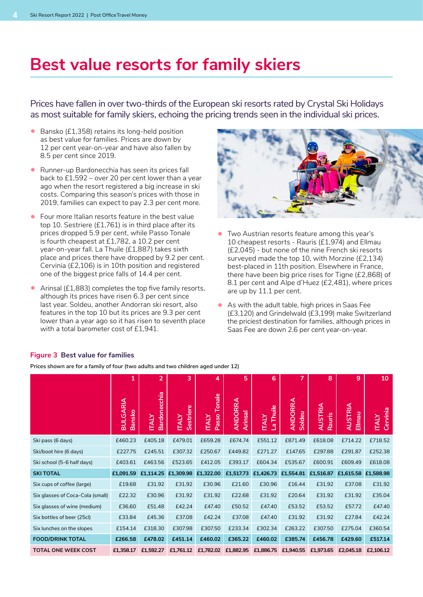### **Best value resorts for family skiers**

Prices have fallen in over two-thirds of the European ski resorts rated by Crystal Ski Holidays as most suitable for family skiers, echoing the pricing trends seen in the individual ski prices.

- Bansko (£1,358) retains its long-held position as best value for families. Prices are down by 12 per cent year-on-year and have also fallen by 8.5 per cent since 2019.
- Runner-up Bardonecchia has seen its prices fall back to £1,592 – over 20 per cent lower than a year ago when the resort registered a big increase in ski costs. Comparing this season's prices with those in 2019, families can expect to pay 2.3 per cent more.
- Four more Italian resorts feature in the best value top 10. Sestriere (£1,761) is in third place after its prices dropped 5.9 per cent, while Passo Tonale is fourth cheapest at £1,782, a 10.2 per cent year-on-year fall. La Thuile (£1,887) takes sixth place and prices there have dropped by 9.2 per cent. Cervinia (£2,106) is in 10th position and registered one of the biggest price falls of 14.4 per cent.
- Arinsal (£1,883) completes the top five family resorts, although its prices have risen 6.3 per cent since last year. Soldeu, another Andorran ski resort, also features in the top 10 but its prices are 9.3 per cent lower than a year ago so it has risen to seventh place with a total barometer cost of £1,941.



- Two Austrian resorts feature among this year's 10 cheapest resorts - Rauris (£1,974) and Ellmau (£2,045) - but none of the nine French ski resorts surveyed made the top 10, with Morzine (£2,134) best-placed in 11th position. Elsewhere in France, there have been big price rises for Tigne (£2,868) of 8.1 per cent and Alpe d'Huez (£2,481), where prices are up by 11.1 per cent.
- As with the adult table, high prices in Saas Fee (£3,120) and Grindelwald (£3,199) make Switzerland the priciest destination for families, although prices in Saas Fee are down 2.6 per cent year-on-year.

|                                  | 1                                | $\overline{2}$                      | 3                         | 4                                      | 5                         | 6                         | 7                        | 8                        | 9                        | 10                       |
|----------------------------------|----------------------------------|-------------------------------------|---------------------------|----------------------------------------|---------------------------|---------------------------|--------------------------|--------------------------|--------------------------|--------------------------|
|                                  | <b>BULGARIA</b><br><b>Bansko</b> | <b>Bardonecchia</b><br><b>ITALY</b> | Sestriere<br><b>ITALY</b> | Tonale<br><b>Passo</b><br><b>ITALY</b> | <b>ANDORRA</b><br>Arinsal | La Thuile<br><b>ITALY</b> | <b>ANDORRA</b><br>Soldeu | <b>AUSTRIA</b><br>Rauris | <b>AUSTRIA</b><br>Ellmau | Cervinia<br><b>ITALY</b> |
| Ski pass (6 days)                | £460.23                          | £405.18                             | £479.01                   | £659.28                                | £674.74                   | £551.12                   | £871.49                  | £618.08                  | £714.22                  | £718.52                  |
| Ski/boot hire (6 days)           | £227.75                          | £245.51                             | £307.32                   | £250.67                                | £449.82                   | £271.27                   | £147.65                  | £297.88                  | £291.87                  | £252.38                  |
| Ski school (5-6 half days)       | £403.61                          | £463.56                             | £523.65                   | £412.05                                | £393.17                   | £604.34                   | £535.67                  | £600.91                  | £609.49                  | £618.08                  |
| <b>SKI TOTAL</b>                 | £1,091.59                        | £1,114.25                           | £1,309.98                 | £1,322.00                              | £1,517.73                 | £1,426.73 £1,554.81       |                          | £1,516.87                | £1,615.58 £1,588.98      |                          |
| Six cups of coffee (large)       | £19.68                           | £31.92                              | £31.92                    | £30.96                                 | £21.60                    | £30.96                    | £16.44                   | £31.92                   | £37.08                   | £31.92                   |
| Six glasses of Coca-Cola (small) | £22.32                           | £30.96                              | £31.92                    | £31.92                                 | £22.68                    | £31.92                    | £20.64                   | £31.92                   | £31.92                   | £35.04                   |
| Six glasses of wine (medium)     | £36.60                           | £51.48                              | £42.24                    | £47.40                                 | £50.52                    | £47.40                    | £53.52                   | £53.52                   | £57.72                   | £47.40                   |
| Six bottles of beer (25cl)       | £33.84                           | £45.36                              | £37.08                    | £42.24                                 | £37.08                    | £47.40                    | £31.92                   | £31.92                   | £27.84                   | £42.24                   |
| Six lunches on the slopes        | £154.14                          | £318.30                             | £307.98                   | £307.50                                | £233.34                   | £302.34                   | £263.22                  | £307.50                  | £275.04                  | £360.54                  |
| <b>FOOD/DRINK TOTAL</b>          | £266.58                          | £478.02                             | £451.14                   | £460.02                                | £365.22                   | £460.02                   | £385.74                  | £456.78                  | £429.60                  | £517.14                  |
| <b>TOTAL ONE WEEK COST</b>       | £1,358.17                        | £1,592.27                           | £1,761.12                 | £1,782.02                              | £1,882.95                 | £1,886.75                 | £1,940.55                | £1,973.65                | £2,045.18                | £2,106.12                |

#### **Figure 3 Best value for families**

**Prices shown are for a family of four (two adults and two children aged under 12)**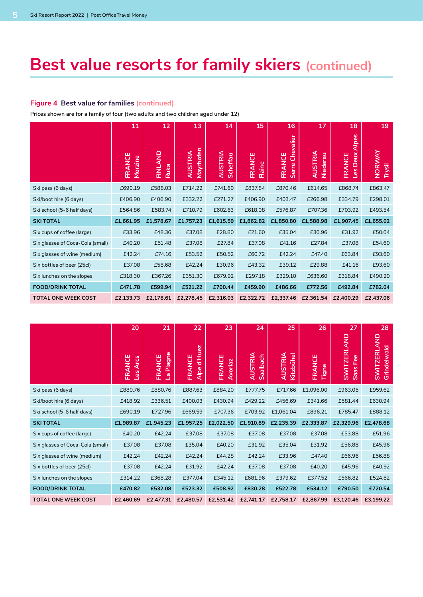## **Best value resorts for family skiers (continued)**

#### **Figure 4 Best value for families (continued)**

**Prices shown are for a family of four (two adults and two children aged under 12)** 

|                                  | 11                | 12              | 13                          | 14                         | 15               | 16                           | 17                         | 18                                            | 19                      |
|----------------------------------|-------------------|-----------------|-----------------------------|----------------------------|------------------|------------------------------|----------------------------|-----------------------------------------------|-------------------------|
|                                  | FRANCE<br>Morzine | FINLAND<br>Ruka | Mayrhofen<br><b>AUSTRIA</b> | <b>AUSTRIA</b><br>Scheffau | FRANCE<br>Flaine | Chevalier<br>FRANCE<br>Serre | <b>AUSTRIA</b><br>Niederau | <b>Alpes</b><br>Deux.<br>FRANCE<br><u>SəT</u> | <b>NORWAY</b><br>Trysil |
| Ski pass (6 days)                | £690.19           | £588.03         | £714.22                     | £741.69                    | £837.84          | £870.46                      | £614.65                    | £868.74                                       | £863.47                 |
| Ski/boot hire (6 days)           | £406.90           | £406.90         | £332.22                     | £271.27                    | £406.90          | £403.47                      | £266.98                    | £334.79                                       | £298.01                 |
| Ski school (5-6 half days)       | £564.86           | £583.74         | £710.79                     | £602.63                    | £618.08          | £576.87                      | £707.36                    | £703.92                                       | £493.54                 |
| <b>SKI TOTAL</b>                 | £1,661.95         | £1,578.67       | £1,757.23                   | £1,615.59                  | £1,862.82        | £1,850.80                    | £1,588.98                  | £1,907.45                                     | £1,655.02               |
| Six cups of coffee (large)       | £33.96            | £48.36          | £37.08                      | £28.80                     | £21.60           | £35.04                       | £30.96                     | £31.92                                        | £50.04                  |
| Six glasses of Coca-Cola (small) | £40.20            | £51.48          | £37.08                      | £27.84                     | £37.08           | £41.16                       | £27.84                     | £37.08                                        | £54.60                  |
| Six glasses of wine (medium)     | £42.24            | £74.16          | £53.52                      | £50.52                     | £60.72           | £42.24                       | £47.40                     | £63.84                                        | £93.60                  |
| Six bottles of beer (25cl)       | £37.08            | £58.68          | £42.24                      | £30.96                     | £43.32           | £39.12                       | £29.88                     | £41.16                                        | £93.60                  |
| Six lunches on the slopes        | £318.30           | £367.26         | £351.30                     | £679.92                    | £297.18          | £329.10                      | £636.60                    | £318.84                                       | £490.20                 |
| <b>FOOD/DRINK TOTAL</b>          | £471.78           | £599.94         | £521.22                     | £700.44                    | £459.90          | £486.66                      | £772.56                    | £492.84                                       | £782.04                 |
| <b>TOTAL ONE WEEK COST</b>       | £2,133.73         | £2,178.61       | £2,278.45                   | £2,316.03                  | £2,322.72        | £2,337.46                    | £2,361.54                  | £2,400.29                                     | £2,437.06               |

|                                  | 20                                  | 21                               | 22                              | 23                | 24                         | 25                          | 26              | 27                                        | 28                                |
|----------------------------------|-------------------------------------|----------------------------------|---------------------------------|-------------------|----------------------------|-----------------------------|-----------------|-------------------------------------------|-----------------------------------|
|                                  | FRANCE<br><b>Arcs</b><br><u>ces</u> | Plagne<br>FRANCE<br>$\mathbf{E}$ | d'Huez<br>FRANCE<br><b>Alpe</b> | FRANCE<br>Avoriaz | <b>AUSTRIA</b><br>Saalbach | <b>AUSTRIA</b><br>Kitzbühel | FRANCE<br>Tigne | <b>QIA</b><br><b>SWITZERL</b><br>Saas Fee | <b>SWITZERLAND</b><br>Grindelwald |
| Ski pass (6 days)                | £880.76                             | £880.76                          | £887.63                         | £884.20           | £777.75                    | £717.66                     | £1,096.00       | £963.05                                   | £959.62                           |
| Ski/boot hire (6 days)           | £418.92                             | £336.51                          | £400.03                         | £430.94           | £429.22                    | £456.69                     | £341.66         | £581.44                                   | £630.94                           |
| Ski school (5-6 half days)       | £690.19                             | £727.96                          | £669.59                         | £707.36           | £703.92                    | £1,061.04                   | £896.21         | £785.47                                   | £888.12                           |
| <b>SKI TOTAL</b>                 | £1,989.87                           | £1,945.23                        | £1,957.25                       | £2,022.50         | £1,910.89                  | £2,235.39                   | £2,333.87       | £2,329.96                                 | £2,478.68                         |
| Six cups of coffee (large)       | £40.20                              | £42.24                           | £37.08                          | £37.08            | £37.08                     | £37.08                      | £37.08          | £53.88                                    | £51.96                            |
| Six glasses of Coca-Cola (small) | £37.08                              | £37.08                           | £35.04                          | £40.20            | £31.92                     | £35.04                      | £31.92          | £56.88                                    | £45.96                            |
| Six glasses of wine (medium)     | £42.24                              | £42.24                           | £42.24                          | £44.28            | £42.24                     | £33.96                      | £47.40          | £66.96                                    | £56.88                            |
| Six bottles of beer (25cl)       | £37.08                              | £42.24                           | £31.92                          | £42.24            | £37.08                     | £37.08                      | £40.20          | £45.96                                    | £40.92                            |
| Six lunches on the slopes        | £314.22                             | £368.28                          | £377.04                         | £345.12           | £681.96                    | £379.62                     | £377.52         | £566.82                                   | £524.82                           |
| <b>FOOD/DRINK TOTAL</b>          | £470.82                             | £532.08                          | £523.32                         | £508.92           | £830.28                    | £522.78                     | £534.12         | £790.50                                   | £720.54                           |
| <b>TOTAL ONE WEEK COST</b>       | £2,460.69                           | £2.477.31                        | £2,480.57                       | £2,531.42         | £2,741.17                  | £2.758.17                   | £2.867.99       | £3,120.46                                 | £3,199.22                         |